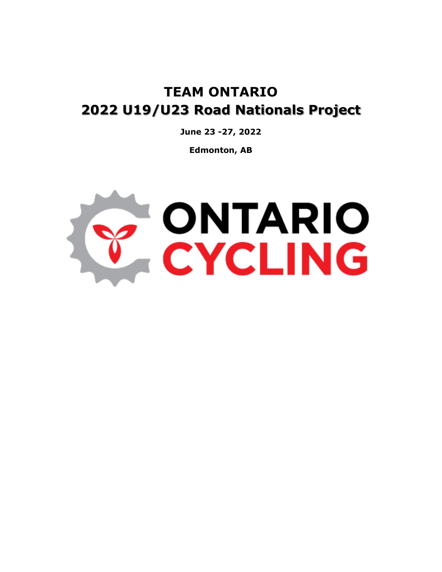# **TEAM ONTARIO 2022 U19/U23 Road Nationals Project**

**June 23 -27, 2022**

**Edmonton, AB**

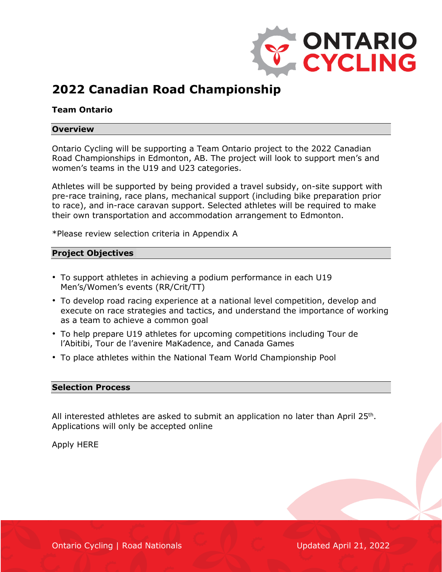

## **2022 Canadian Road Championship**

### **Team Ontario**

#### **Overview**

Ontario Cycling will be supporting a Team Ontario project to the 2022 Canadian Road Championships in Edmonton, AB. The project will look to support men's and women's teams in the U19 and U23 categories.

Athletes will be supported by being provided a travel subsidy, on-site support with pre-race training, race plans, mechanical support (including bike preparation prior to race), and in-race caravan support. Selected athletes will be required to make their own transportation and accommodation arrangement to Edmonton.

\*Please review selection criteria in Appendix A

#### **Project Objectives**

- To support athletes in achieving a podium performance in each U19 Men's/Women's events (RR/Crit/TT)
- To develop road racing experience at a national level competition, develop and execute on race strategies and tactics, and understand the importance of working as a team to achieve a common goal
- To help prepare U19 athletes for upcoming competitions including Tour de l'Abitibi, Tour de l'avenire MaKadence, and Canada Games
- To place athletes within the National Team World Championship Pool

#### **Selection Process**

All interested athletes are asked to submit an application no later than April 25<sup>th</sup>. Applications will only be accepted online

Apply HERE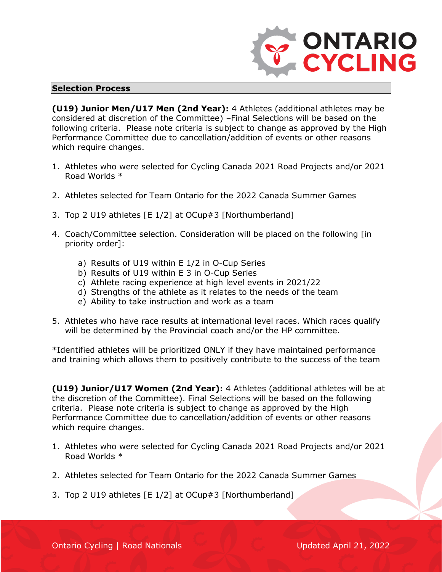

#### **Selection Process**

**(U19) Junior Men/U17 Men (2nd Year):** 4 Athletes (additional athletes may be considered at discretion of the Committee) –Final Selections will be based on the following criteria. Please note criteria is subject to change as approved by the High Performance Committee due to cancellation/addition of events or other reasons which require changes.

- 1. Athletes who were selected for Cycling Canada 2021 Road Projects and/or 2021 Road Worlds \*
- 2. Athletes selected for Team Ontario for the 2022 Canada Summer Games
- 3. Top 2 U19 athletes [E 1/2] at OCup#3 [Northumberland]
- 4. Coach/Committee selection. Consideration will be placed on the following [in priority order]:
	- a) Results of U19 within E 1/2 in O-Cup Series
	- b) Results of U19 within E 3 in O-Cup Series
	- c) Athlete racing experience at high level events in 2021/22
	- d) Strengths of the athlete as it relates to the needs of the team
	- e) Ability to take instruction and work as a team
- 5. Athletes who have race results at international level races. Which races qualify will be determined by the Provincial coach and/or the HP committee.

\*Identified athletes will be prioritized ONLY if they have maintained performance and training which allows them to positively contribute to the success of the team

**(U19) Junior/U17 Women (2nd Year):** 4 Athletes (additional athletes will be at the discretion of the Committee). Final Selections will be based on the following criteria. Please note criteria is subject to change as approved by the High Performance Committee due to cancellation/addition of events or other reasons which require changes.

- 1. Athletes who were selected for Cycling Canada 2021 Road Projects and/or 2021 Road Worlds \*
- 2. Athletes selected for Team Ontario for the 2022 Canada Summer Games
- 3. Top 2 U19 athletes [E 1/2] at OCup#3 [Northumberland]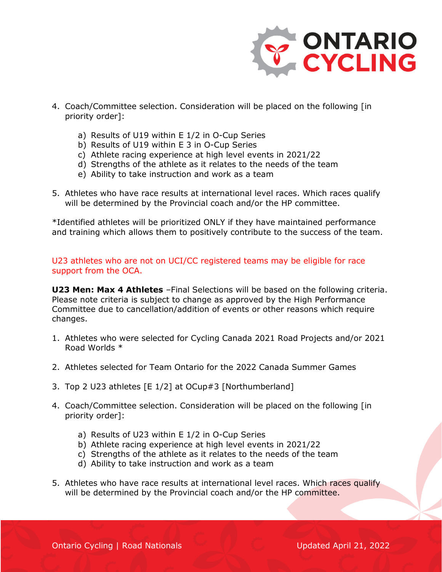

- 4. Coach/Committee selection. Consideration will be placed on the following [in priority order]:
	- a) Results of U19 within E 1/2 in O-Cup Series
	- b) Results of U19 within E 3 in O-Cup Series
	- c) Athlete racing experience at high level events in 2021/22
	- d) Strengths of the athlete as it relates to the needs of the team
	- e) Ability to take instruction and work as a team
- 5. Athletes who have race results at international level races. Which races qualify will be determined by the Provincial coach and/or the HP committee.

\*Identified athletes will be prioritized ONLY if they have maintained performance and training which allows them to positively contribute to the success of the team.

U23 athletes who are not on UCI/CC registered teams may be eligible for race support from the OCA.

**U23 Men: Max 4 Athletes** –Final Selections will be based on the following criteria. Please note criteria is subject to change as approved by the High Performance Committee due to cancellation/addition of events or other reasons which require changes.

- 1. Athletes who were selected for Cycling Canada 2021 Road Projects and/or 2021 Road Worlds \*
- 2. Athletes selected for Team Ontario for the 2022 Canada Summer Games
- 3. Top 2 U23 athletes [E 1/2] at OCup#3 [Northumberland]
- 4. Coach/Committee selection. Consideration will be placed on the following [in priority order]:
	- a) Results of U23 within E 1/2 in O-Cup Series
	- b) Athlete racing experience at high level events in 2021/22
	- c) Strengths of the athlete as it relates to the needs of the team
	- d) Ability to take instruction and work as a team
- 5. Athletes who have race results at international level races. Which races qualify will be determined by the Provincial coach and/or the HP committee.